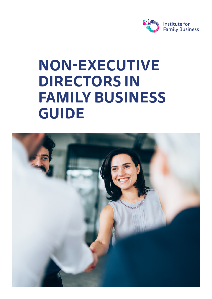

# **NON-EXECUTIVE DIRECTORS IN FAMILY BUSINESS GUIDE**

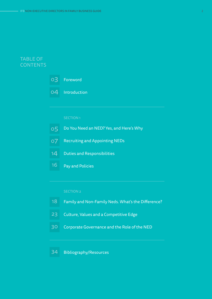### TABLE OF **CONTENTS**



04 Introduction

| $\overline{\text{o}}$ 5 | Do You Need an NED? Yes, and Here's Why     |
|-------------------------|---------------------------------------------|
| 07                      | <b>Recruiting and Appointing NEDs</b>       |
| 14                      | <b>Duties and Responsibilities</b>          |
| 16                      | <b>Pay and Policies</b>                     |
|                         |                                             |
|                         | <b>SECTION 2</b>                            |
| 18                      | Family and Non-Family Neds. What's the Diff |
| 23                      | Culture, Values and a Competitive Edge      |
| 30                      | Corporate Governance and the Role of the NI |
|                         |                                             |
| 34                      | <b>Bibliography/Resources</b>               |

- 18 Family and Non-Family Neds. What's the Difference?
- 23 Culture, Values and a Competitive Edge
- 30 Corporate Governance and the Role of the NED

#### 34 Bibliography/Resources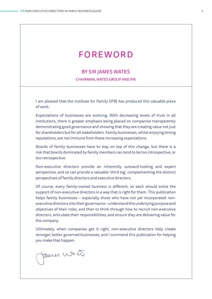### FOREWORD

### BY SIR JAMES WATES

CHAIRMAN, WATES GROUP AND IFB

I am pleased that the Institute for Family (IFB) has produced this valuable piece of work.

Expectations of businesses are evolving. With decreasing levels of trust in all institutions, there is greater emphasis being placed on companies transparently demonstrating good governance and showing that they are creating value not just for shareholders but for all stakeholders. Family businesses, whilst enjoying strong reputations, are not immune from these increasing expectations.

Boards of family businesses have to stay on top of this change, but there is a risk that boards dominated by family members can tend to be too introspective, or too retrospective.

Non-executive directors provide an inherently outward-looking and expert perspective, and so can provide a valuable 'third leg', complementing the distinct perspectives of family directors and executive directors.

Of course, every family-owned business is different, so each should enlist the support of non-executive directors in a way that is right for them. This publication helps family businesses – especially those who have not yet incorporated nonexecutive directors into their governance – understand the underlying purpose and objectives of their roles, and then to think through how to recruit non-executive directors, articulate their responsibilities, and ensure they are delivering value for the company.

Ultimately, when companies get it right, non-executive directors help create stronger, better governed businesses, and I commend this publication for helping you make that happen.

famer water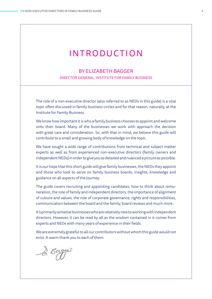### INTRODUCTION

### BY ELIZABETH BAGGER

DIRECTOR GENERAL, INSTITUTE FOR FAMILY BUSINESS

The role of a non-executive director (also referred to as NEDs in this guide) is a vital topic often discussed in family business circles and for that reason, naturally, at the Institute for Family Business.

We know how important it is who a family business chooses to appoint and welcome onto their board. Many of the businesses we work with approach the decision with great care and consideration. So, with that in mind, we believe this guide will contribute to a small and growing body of knowledge on the topic.

We have sought a wide range of contributions from technical and subject matter experts as well as from experienced non-executive directors (family owners and independent NEDs) in order to give you as detailed and nuanced a picture as possible.

It is our hope that this short guide will give family businesses, the NEDs they appoint and those who look to serve on family business boards, insights, knowledge and guidance on all aspects of the journey.

The guide covers recruiting and appointing candidates, how to think about remuneration, the role of family and independent directors, the importance of alignment of culture and values, the role of corporate governance, rights and responsibilities, communication between the board and the family, board reviews and much more.

It's primarily aimed at businesses who are relatively new to working with independent directors. However, it can be read by all as the wisdom contained in it comes from experts and NEDs with many years of experience in their fields.

We are extremely grateful to all our contributors without whom this guide would not exist. A warm thank you to each of them.

& Bagger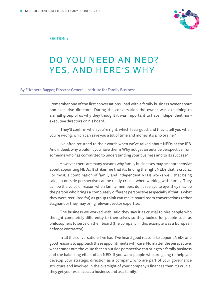

### SECTION 1

### DO YOU NEED AN NED? YES, AND HERE'S WHY

#### By Elizabeth Bagger, Director General, Institute for Family Business

I remember one of the first conversations I had with a family business owner about non-executive directors. During the conversation the owner was explaining to a small group of us why they thought it was important to have independent nonexecutive directors on his board.

'They'll confirm when you're right, which feels good, and they'll tell you when you're wrong, which can save you a lot of time and money, it's a no brainer'.

I've often returned to their words when we've talked about NEDs at the IFB. And indeed, why wouldn't you have them? Why not get an outside perspective from someone who has committed to understanding your business and to its success?

However, there are many reasons why family businesses may be apprehensive about appointing NEDs. It strikes me that it's finding the right NEDs that is crucial. For most, a combination of family and independent NEDs works well, that being said, an outside perspective can be really crucial when working with family. They can be the voice of reason when family members don't see eye to eye, they may be the person who brings a completely different perspective (especially if that is what they were recruited for) as group think can make board room conversations rather stagnant or they may bring relevant sector expertise.

One business we worked with; said they saw it as crucial to hire people who thought completely differently to themselves so they looked for people such as philosophers to serve on their board (the company in this example was a European defence contractor).

In all the conversations I've had, I've heard good reasons to appoint NEDs and good reasons to approach these appointments with care. No matter the perspective, what stands out, the value that an outside perspective can bring to a family business and the balancing effect of an NED. If you want people who are going to help you develop your strategic direction as a company, who are part of your governance structure and involved in the oversight of your company's finances then it's crucial they get your essence as a business and as a family.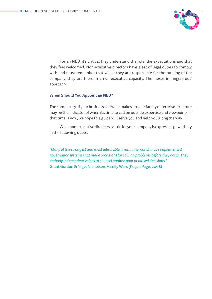

For an NED, it's critical they understand the role, the expectations and that they feel welcomed. Non-executive directors have a set of legal duties to comply with and must remember that whilst they are responsible for the running of the company, they are there in a non-executive capacity. The 'noses in, fingers out' approach.

### **When Should You Appoint an NED?**

The complexity of your business and what makes up your family enterprise structure may be the indicator of when it's time to call on outside expertise and viewpoints. If that time is now, we hope this guide will serve you and help you along the way.

What non-executive directors can do for your company is expressed powerfully in the following quote:

*"Many of the strongest and most admirable firms in the world…have implemented governance systems that make provisions for solving problems before they occur. They embody independent voices to counsel against poor or biased decisions."*  Grant Gordon & Nigel Nicholson, Family Wars (Kogan Page, 2008)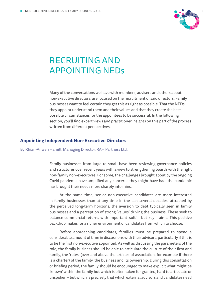

# RECRUITING AND APPOINTING NEDs

Many of the conversations we have with members, advisers and others about non-executive directors, are focused on the recruitment of said directors. Family businesses want to feel certain they get this as right as possible. That the NEDs they appoint understand them and their values and that they create the best possible circumstances for the appointees to be successful. In the following section, you'll find expert views and practitioner insights on this part of the process written from different perspectives.

### **Appointing Independent Non-Executive Directors**

By Rhian-Anwen Hamill, Managing Director, RAH Partners Ltd.

Family businesses from large to small have been reviewing governance policies and structures over recent years with a view to strengthening boards with the right non-family non-executives. For some, the challenges brought about by the ongoing Covid pandemic have amplified any concerns they might have had; the pandemic has brought their needs more sharply into mind.

At the same time, senior non-executive candidates are more interested in family businesses than at any time in the last several decades, attracted by the perceived long-term horizons, the aversion to debt typically seen in family businesses and a perception of strong 'values' driving the business. These seek to balance commercial returns with important 'soft' – but key – aims. This positive backdrop makes for a richer environment of candidates from which to choose.

Before approaching candidates, families must be prepared to spend a considerable amount of time in discussions with their advisors, particularly if this is to be the first non-executive appointed. As well as discussing the parameters of the role, the family business should be able to articulate the culture of their firm and family, the 'rules' (over and above the articles of association, for example if there is a charter) of the family, the business and its ownership. During this consultation or briefing period, the family should be encouraged to make explicit what might be 'known' within the family but which is often taken for granted, hard to articulate or unspoken – but which is precisely that which external advisors and candidates need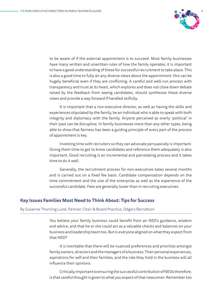

to be aware of if the external appointment is to succeed. Most family businesses have many written and unwritten rules of how the family operates; it is important to have a good understanding of these for successful recruitment to take place. This is also a good time to fully air any diverse views about the appointment: this can be hugely beneficial even if they are conflicting. A careful and well-run process with transparency and trust at its heart, which explores and does not close down debate raised by the feedback from seeing candidates, should synthesise these diverse views and provide a way forward if handled skilfully.

It is important that a non-executive director, as well as having the skills and experiences stipulated by the family, be an individual who is able to speak with both integrity and diplomacy with the family. Anyone perceived as overly 'political' in their past can be disruptive. In family businesses more than any other types, being able to show that fairness has been a guiding principle of every part of the process of appointment is key.

Investing time with recruiters so they can advocate persuasively is important. Giving them time to get to know candidates and reference them adequately is also important. Good recruiting is an incremental and painstaking process and it takes time to do it well.

Generally, the recruitment process for non-executives takes several months and is carried out on a fixed fee basis. Candidate compensation depends on the time commitment and the size of the enterprise as well as the experience of the successful candidate. Fees are generally lower than in recruiting executives.

### **Key Issues Families Most Need to Think About: Tips for Success**

#### By Susanne Thorning Lund, Partner, Chair & Board Practice, Odgers Berndtson

You believe your family business could benefit from an NED's guidance, wisdom and advice, and that he or she could act as a valuable checks and balances on your business and leadership team too. But is everyone aligned on what they expect from that NED?

It is inevitable that there will be nuanced preferences and priorities amongst family owners, directors and the managers of a business. Their personal experiences, aspirations for self and their families, and the role they hold in the business will all influence their opinions.

Critically important to ensuring the successful contribution of NEDs therefore, is that careful thought is given to what you expect of that newcomer. Remember too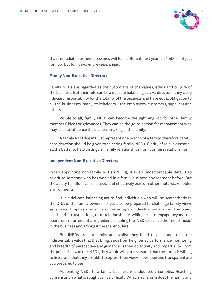

that immediate business pressures will look different next year; an NED is not just for now, but for five-or-more years ahead.

### **Family Non-Executive Directors**

Family NEDs are regarded as the custodians of the values, ethos and culture of the business. But their role can be a delicate balancing act. As directors, they carry fiduciary responsibility for the totality of the business and have equal obligation to all the businesses' many stakeholders – the employees, customers, suppliers and others.

Visible to all, family NEDs can become the lightning rod for other family members' ideas or grievances. They can be the go-to person for management who may seek to influence the decision-making of the family.

A family NED doesn't just represent one branch of a family, therefore careful consideration should be given to selecting family NEDs. Clarity of role is essential, all the better to help distinguish family relationships from business relationships.

### **Independent Non-Executive Directors**

When appointing non-family NEDs (iNEDs), it is an understandable default to prioritise someone who has worked in a family business environment before. But the ability to influence sensitively and effectively exists in other multi-stakeholder environments.

It is a delicate balancing act to find individuals who will be sympathetic to the DNA of the family ownership, yet also be prepared to challenge family views sensitively. Emphasis must be on securing an individual with whom the board can build a trusted, long-term relationship. A willingness to engage beyond the boardroom is an essential ingredient, enabling the iNED to pick up the 'mood music' in the business and amongst the shareholders.

But iNEDs are not family and whilst they build respect and trust, the indispensable value that they bring, aside from heightened performance monitoring and breadth of perspective and guidance, is their objectivity and impartiality. From the point of view of the iNEDs, they would wish to be assured that the family is willing to listen and that they are able to express their views; how open and transparent are you prepared to be?

Appointing NEDs to a family business is undoubtedly complex. Reaching consensus on what is sought can be difficult. What mechanism does the family and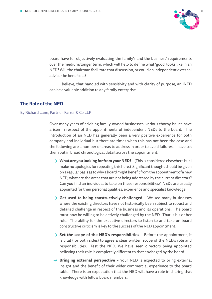

board have for objectively evaluating the family's and the business' requirements over the medium/longer term, which will help to define what 'good' looks like in an NED? Will the chairman facilitate that discussion, or could an independent external advisor be beneficial?

I believe, that handled with sensitivity and with clarity of purpose, an iNED can be a valuable addition to any family enterprise.

### **The Role of the NED**

### By Richard Lane, Partner, Farrer & Co LLP

Over many years of advising family-owned businesses, various thorny issues have arisen in respect of the appointments of independent NEDs to the board. The introduction of an NED has generally been a very positive experience for both company and individual but there are times when this has not been the case and the following are a number of areas to address in order to avoid failures. I have set them out in broad chronological detail across the appointment.

- → **What are you looking for from your NED?**  (This is considered elsewhere but I make no apologies for repeating this here.) Significant thought should be given on a regular basis as to why a board might benefit from the appointment of a new NED; what are the areas that are not being addressed by the current directors? Can you find an individual to take on these responsibilities? NEDs are usually appointed for their personal qualities, experience and specialist knowledge.
- $\rightarrow$  Get used to being constructively challenged We see many businesses where the existing directors have not historically been subject to robust and detailed challenge in respect of the business and its operations. The board must now be willing to be actively challenged by the NED. That is his or her role. The ability for the executive directors to listen to and take on board constructive criticism is key to the success of the NED appointment.
- $\rightarrow$  **Set the scope of the NED's responsibilities** Before the appointment, it is vital (for both sides) to agree a clear written scope of the NED's role and responsibilities. Test the NED. We have seen directors being appointed believing their role is completely different to that envisaged by the board.
- → **Bringing external perspective** Your NED is expected to bring external insight and the benefit of their wider commercial experience to the board table. There is an expectation that the NED will have a role in sharing that knowledge with fellow board members.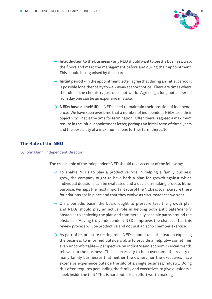

- $\rightarrow$  **Introduction to the business** any NED should want to see the business, walk the floors and meet the management before and during their appointment. This should be organised by the board.
- $\rightarrow$  **Initial period** In the appointment letter, agree that during an initial period it is possible for either party to walk away at short notice. There are times where the role or the chemistry just does not work. Agreeing a long notice period from day one can be an expensive mistake.
- $\rightarrow$  **NEDs have a shelf life** NEDs need to maintain their position of independence. We have seen over time that a number of independent NEDs lose their objectivity. That is the time for termination. Often there is agreed a maximum tenure in the initial appointment letter, perhaps an initial term of three years and the possibility of a maximum of one further term thereafter.

### **The Role of the NED**

### By John Dunn, Independent Director

The crucial role of the independent NED should take account of the following:

- $\rightarrow$  To enable NEDs to play a productive role in helping a family business grow, the company ought to have both a plan for growth against which individual decisions can be evaluated and a decision-making process fit for purpose. Perhaps the most important role of the NEDs is to make sure these foundations are in place and that they evolve as circumstances warrant.
- $\rightarrow$  On a periodic basis, the board ought to pressure test the growth plan and NEDs should play an active role in helping both anticipate/identify obstacles to achieving the plan and commercially sensible paths around the obstacles. Having truly independent NEDs improves the chances that this review process will be productive and not just an echo chamber exercise.
- $\rightarrow$  As part of its pressure testing role, NEDs should take the lead in exposing the business to informed outsiders able to provide a helpful— sometimes even uncomfortable— perspective on industry and economic/social trends relevant to the business. This is necessary to help overcome the reality of many family businesses that neither the owners nor the executives have extensive experience outside the silo of a single business/industry. Doing this often requires persuading the family and executives to give outsiders a 'peek inside the tent.' This is hard but it is an effort worth making.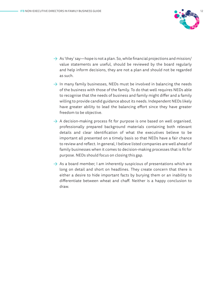

- $\rightarrow$  As 'they' say—hope is not a plan. So, while financial projections and mission/ value statements are useful, should be reviewed by the board regularly and help inform decisions, they are not a plan and should not be regarded as such.
- $\rightarrow$  In many family businesses, NEDs must be involved in balancing the needs of the business with those of the family. To do that well requires NEDs able to recognise that the needs of business and family might differ and a family willing to provide candid guidance about its needs. Independent NEDs likely have greater ability to lead the balancing effort since they have greater freedom to be objective.
- $\rightarrow$  A decision-making process fit for purpose is one based on well organised, professionally prepared background materials containing both relevant details and clear identification of what the executives believe to be important all presented on a timely basis so that NEDs have a fair chance to review and reflect. In general, I believe listed companies are well ahead of family businesses when it comes to decision-making processes that is fit for purpose. NEDs should focus on closing this gap.
- $\rightarrow$  As a board member, I am inherently suspicious of presentations which are long on detail and short on headlines. They create concern that there is either a desire to hide important facts by burying them or an inability to differentiate between wheat and chaff. Neither is a happy conclusion to draw.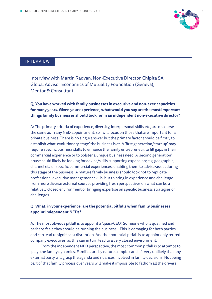

### INTERVIEW

Interview with Martin Radvan, Non-Executive Director, Chipita SA, Global Advisor Economics of Mutuality Foundation (Geneva), Mentor & Consultant

**Q: You have worked with family businesses in executive and non-exec capacities for many years. Given your experience, what would you say are the most important things family businesses should look for in an independent non-executive director?**

A: The primary criteria of experience, diversity, interpersonal skills etc, are of course the same as in any NED appointment, so I will focus on those that are important for a private business. There is no single answer but the primary factor should be firstly to establish what 'evolutionary stage' the business is at. A 'first generation/start up' may require specific business skills to enhance the family entrepreneur, to fill gaps in their commercial experience or to bolster a unique business need. A 'second generation' phase could likely be looking for advice/skills supporting expansion; e.g. geographic, channel etc or specific commercial experiences, enabling them to advise/assist during this stage of the business. A mature family business should look not to replicate professional executive management skills, but to bring in experience and challenge from more diverse external sources providing fresh perspectives on what can be a relatively closed environment or bringing expertise on specific business strategies or challenges.

### **Q: What, in your experience, are the potential pitfalls when family businesses appoint independent NEDs?**

A: The most obvious pitfall is to appoint a 'quasi-CEO.' Someone who is qualified and perhaps feels they should be running the business. This is damaging for both parties and can lead to significant disruption. Another potential pitfall is to appoint only retired company executives, as this can in turn lead to a very closed environment.

From the independent NED perspective, the most common pitfall is to attempt to 'play' the family dynamics. Families are by nature complex and it's very unlikely that any external party will grasp the agenda and nuances involved in family decisions. Not being part of that family process over years will make it impossible to fathom all the drivers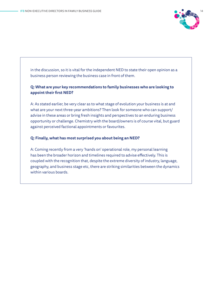

in the discussion, so it is vital for the independent NED to state their open opinion as a business person reviewing the business case in front of them.

### **Q: What are your key recommendations to family businesses who are looking to appoint their first NED?**

A: As stated earlier, be very clear as to what stage of evolution your business is at and what are your next three-year ambitions? Then look for someone who can support/ advise in these areas or bring fresh insights and perspectives to an enduring business opportunity or challenge. Chemistry with the board/owners is of course vital, but guard against perceived factional appointments or favourites.

### **Q: Finally, what has most surprised you about being an NED?**

A: Coming recently from a very 'hands on' operational role, my personal learning has been the broader horizon and timelines required to advise effectively. This is coupled with the recognition that, despite the extreme diversity of industry, language, geography, and business stage etc, there are striking similarities between the dynamics within various boards.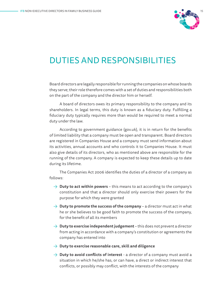

### DUTIES AND RESPONSIBILITIES

Board directors are legally responsible for running the companies on whose boards they serve; their role therefore comes with a set of duties and responsibilities both on the part of the company and the director him or herself.

A board of directors owes its primary responsibility to the company and its shareholders. In legal terms, this duty is known as a fiduciary duty. Fulfilling a fiduciary duty typically requires more than would be required to meet a normal duty under the law.

According to government guidance (gov.uk), it is in return for the benefits of limited liability that a company must be open and transparent. Board directors are registered in Companies House and a company must send information about its activities, annual accounts and who controls it to Companies House. It must also give details of its directors, who as mentioned above are responsible for the running of the company. A company is expected to keep these details up to date during its lifetime.

The Companies Act 2006 identifies the duties of a director of a company as follows:

- $\rightarrow$  **Duty to act within powers** this means to act according to the company's constitution and that a director should only exercise their powers for the purpose for which they were granted
- $\rightarrow$  **Duty to promote the success of the company** a director must act in what he or she believes to be good faith to promote the success of the company, for the benefit of all its members
- → **Duty to exercise independent judgement** this does not prevent a director from acting in accordance with a company's constitution or agreements the company has entered into
- → **Duty to exercise reasonable care, skill and diligence**
- → **Duty to avoid conflicts of interest** a director of a company must avoid a situation in which he/she has, or can have, a direct or indirect interest that conflicts, or possibly may conflict, with the interests of the company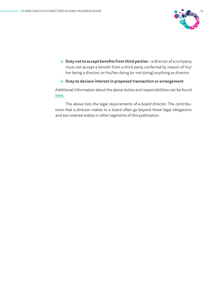

→ **Duty not to accept benefits from third parties** – a director of a company must not accept a benefit from a third party conferred by reason of his/ her being a director, or his/her doing (or not doing) anything as director

### → **Duty to declare interest in proposed transaction or arrangement**

Additional information about the above duties and responsibilities can be found [here.](https://www.legislation.gov.uk/ukpga/2006/46/part/10/chapter/2)

The above lists the legal requirements of a board director. The contributions that a director makes to a board often go beyond these legal obligations and are covered widely in other segments of this publication.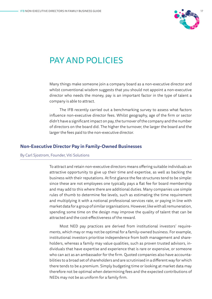

### PAY AND POLICIES

Many things make someone join a company board as a non-executive director and whilst conventional wisdom suggests that you should not appoint a non-executive director who needs the money, pay is an important factor in the type of talent a company is able to attract.

The IFB recently carried out a benchmarking survey to assess what factors influence non-executive director fees. Whilst geography, age of the firm or sector didn't have a significant impact on pay, the turnover of the company and the number of directors on the board did. The higher the turnover, the larger the board and the larger the fees paid to the non-executive director.

### **Non-Executive Director Pay in Family-Owned Businesses**

### By Carl Sjostrom, Founder, Viti Solutions

To attract and retain non-executive directors means offering suitable individuals an attractive opportunity to give up their time and expertise, as well as backing the business with their reputations. At first glance the fee structures tend to be simple: since these are not employees one typically pays a flat fee for board membership and may add to this where there are additional duties. Many companies use simple rules of thumb to determine fee levels, such as estimating the time requirement and multiplying it with a notional professional services rate, or paying in line with market data for a group of similar organisations. However, like with all remuneration, spending some time on the design may improve the quality of talent that can be attracted and the cost-effectiveness of the reward.

Most NED pay practices are derived from institutional investors' requirements, which may or may not be optimal for a family-owned business. For example, institutional investors prioritise independence from both management and shareholders, whereas a family may value qualities, such as proven trusted advisors, individuals that have expertise and experience that is rare or expensive, or someone who can act as an ambassador for the firm. Quoted companies also have accountabilities to a broad set of shareholders and are scrutinised in a different way for which there tends to be a premium. Simply budgeting time or looking at market data may therefore not be optimal when determining fees and the expected contributions of NEDs may not be as uniform for a family firm.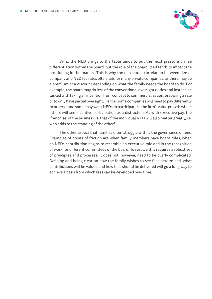

What the NED brings to the table tends to put the most pressure on fee differentiation within the board, but the role of the board itself tends to impact the positioning in the market. This is why the oft quoted correlation between size of company and NED fee rates often fails for many private companies, as there may be a premium or a discount depending on what the family needs the board to do. For example, the board may do less of the conventional oversight duties and instead be tasked with taking an invention from concept to commercialisation, preparing a sale or to only have partial oversight. Hence, some companies will need to pay differently to others - and some may want NEDs to participate in the firm's value growth whilst others will see incentive participation as a distraction. As with executive pay, the 'franchise' of the business vs. that of the individual NED will also matter greatly, i.e. who adds to the standing of the other?

The other aspect that families often struggle with is the governance of fees. Examples of points of friction are when family members have board roles, when an NEDs contribution begins to resemble an executive role and in the recognition of work for different committees of the board. To resolve this requires a robust set of principles and processes. It does not, however, need to be overly complicated. Defining and being clear on how the family wishes to see fees determined, what contributions will be valued and how fees should be delivered will go a long way to achieve a basis from which fees can be developed over time.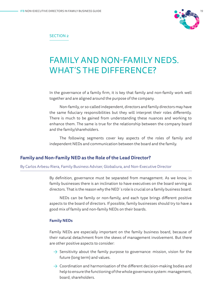

### SECTION 2

### FAMILY AND NON-FAMILY NEDS. WHAT'S THE DIFFERENCE?

In the governance of a family firm, it is key that family and non-family work well together and are aligned around the purpose of the company.

Non-family, or so-called independent, directors and family directors may have the same fiduciary responsibilities but they will interpret their roles differently. There is much to be gained from understanding these nuances and working to enhance them. The same is true for the relationship between the company board and the family/shareholders.

The following segments cover key aspects of the roles of family and independent NEDs and communication between the board and the family.

### **Family and Non-Family NED as the Role of the Lead Director?**

By Carlos Arbesu Riera, Family Business Adviser, Globaliura, and Non-Executive Director

By definition, governance must be separated from management. As we know, in family businesses there is an inclination to have executives on the board serving as directors. That is the reason why the NED´s role is crucial on a family business board.

NEDs can be family or non-family, and each type brings different positive aspects to the board of directors. If possible, family businesses should try to have a good mix of family and non-family NEDs on their boards.

### **Family NEDs**

Family NEDs are especially important on the family business board, because of their natural detachment from the skews of management involvement. But there are other positive aspects to consider:

- $\rightarrow$  Sensitivity about the family purpose to governance: mission, vision for the future (long term) and values.
- $\rightarrow$  Coordination and harmonisation of the different decision-making bodies and help to ensure the functioning of the whole governance system: management, board, shareholders.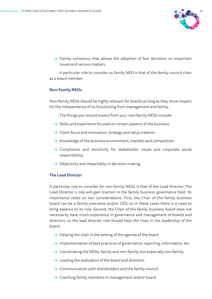

 $\rightarrow$  Family consensus that allows the adoption of fast decisions on important issues and serious matters.

A particular role to consider as family NED is that of the family council chair as a board member.

### **Non-Family NEDs**

Non-family NEDs should be highly relevant for boards as long as they show respect for the independence of its functioning from management and family.

The things you should expect from your non-family NEDs include:

- $\rightarrow$  Skills and experience focused on certain aspects of the business.
- $\rightarrow$  Client focus and innovation, strategy and value creation.
- $\rightarrow$  Knowledge of the business environment, markets and competition.
- $\rightarrow$  Compliance and sensitivity for stakeholder issues and corporate social responsibility.
- $\rightarrow$  Objectivity and impartiality in decision-making.

### **The Lead Director**

A particular role to consider for non-family NEDs is that of the Lead Director. The Lead Director´s role will gain traction in the family business governance field. Its importance relies on two considerations. First, the Chair of the family business board can be a family executive and/or CEO, so in these cases there is a need to bring balance to its role. Second, the Chair of the family business board does not necessarily have much experience in governance and management of boards and directors, so the lead director role should help the chair in the leadership of the board.

- $\rightarrow$  Helping the chair in the setting of the agenda of the board.
- $\rightarrow$  Implementation of best practices of governance: reporting, information, etc.
- $\rightarrow$  Coordinating the NEDs, family and non-family, but especially non-family.
- $\rightarrow$  Leading the evaluation of the board and directors.
- $\rightarrow$  Communication with shareholders and the family council.
- $\rightarrow$  Coaching family members in management and/or board.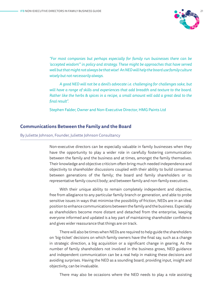

*"For most companies but perhaps especially for family run businesses there can be 'accepted wisdom'" in policy and strategy. These might be approaches that have served well but that might not always be that wise! An NED will help the board use family culture wisely but not necessarily always.*

*A good NED will not be a devil's advocate i.e. challenging for challenges sake, but will have a range of skills and experiences that add breadth and texture to the board. Rather like the herbs & spices in a recipe, a small amount will add a great deal to the final result".*

Stephen Falder, Owner and Non-Executive Director, HMG Paints Ltd

### **Communications Between the Family and the Board**

### By Juliette Johnson, Founder, Juliette Johnson Consultancy

Non-executive directors can be especially valuable in family businesses when they have the opportunity to play a wider role in carefully fostering communication between the family and the business and at times, amongst the family themselves. Their knowledge and objective criticism often bring much needed independence and objectivity to shareholder discussions coupled with their ability to build consensus between generations of the family; the board and family shareholders or its representative family council body; and between family and non-family executives.

With their unique ability to remain completely independent and objective, free from allegiance to any particular family branch or generation, and able to probe sensitive issues in ways that minimise the possibility of friction, NEDs are in an ideal position to enhance communications between the family and the business. Especially as shareholders become more distant and detached from the enterprise, keeping everyone informed and updated is a key part of maintaining shareholder confidence and gives wider reassurance that things are on track.

There will also be times when NEDs are required to help guide the shareholders on 'big-ticket' decisions on which family owners have the final say, such as a change in strategic direction, a big acquisition or a significant change in gearing. As the number of family shareholders not involved in the business grows, NED guidance and independent communication can be a real help in making these decisions and avoiding surprises. Having the NED as a sounding board, providing input, insight and objectivity, can be invaluable.

There may also be occasions where the NED needs to play a role assisting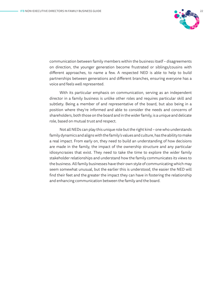

communication between family members within the business itself – disagreements on direction, the younger generation become frustrated or siblings/cousins with different approaches, to name a few. A respected NED is able to help to build partnerships between generations and different branches, ensuring everyone has a voice and feels well represented.

With its particular emphasis on communication, serving as an independent director in a family business is unlike other roles and requires particular skill and subtlety. Being a member of and representative of the board, but also being in a position where they're informed and able to consider the needs and concerns of shareholders, both those on the board and in the wider family, is a unique and delicate role, based on mutual trust and respect.

Not all NEDs can play this unique role but the right kind – one who understands family dynamics and aligns with the family's values and culture, has the ability to make a real impact. From early on, they need to build an understanding of how decisions are made in the family, the impact of the ownership structure and any particular idiosyncrasies that exist. They need to take the time to explore the wider family stakeholder relationships and understand how the family communicates its views to the business. All family businesses have their own style of communicating which may seem somewhat unusual, but the earlier this is understood, the easier the NED will find their feet and the greater the impact they can have in fostering the relationship and enhancing communication between the family and the board.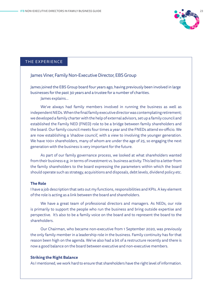

### THE EXPERIENCE

### James Viner, Family Non-Executive Director, EBS Group

James joined the EBS Group board four years ago, having previously been involved in large businesses for the past 30 years and a trustee for a number of charities.

James explains…

We've always had family members involved in running the business as well as independent NEDs. When the final family executive director was contemplating retirement; we developed a family charter with the help of external advisors, set up a family council and established the Family NED (FNED) role to be a bridge between family shareholders and the board. Our family council meets four times a year and the FNEDs attend ex-officio. We are now establishing a 'shadow council', with a view to involving the younger generation. We have 100+ shareholders, many of whom are under the age of 25, so engaging the next generation with the business is very important for the future.

As part of our family governance process, we looked at what shareholders wanted from their business e.g. in terms of investment vs. business activity. This led to a letter from the family shareholders to the board expressing the parameters within which the board should operate such as strategy, acquisitions and disposals, debt levels, dividend policy etc.

### **The Role**

I have a job description that sets out my functions, responsibilities and KPIs. A key element of the role is acting as a link between the board and shareholders.

We have a great team of professional directors and managers. As NEDs, our role is primarily to support the people who run the business and bring outside expertise and perspective. It's also to be a family voice on the board and to represent the board to the shareholders.

Our Chairman, who became non-executive from 1 September 2020, was previously the only family member in a leadership role in the business. Family continuity has for that reason been high on the agenda. We've also had a bit of a restructure recently and there is now a good balance on the board between executive and non-executive members.

#### **Striking the Right Balance**

As I mentioned, we work hard to ensure that shareholders have the right level of information.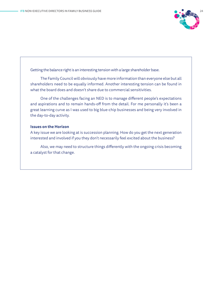

Getting the balance right is an interesting tension with a large shareholder base.

The Family Council will obviously have more information than everyone else but all shareholders need to be equally informed. Another interesting tension can be found in what the board does and doesn't share due to commercial sensitivities.

One of the challenges facing an NED is to manage different people's expectations and aspirations and to remain hands-off from the detail. For me personally it's been a great learning curve as I was used to big blue-chip businesses and being very involved in the day-to-day activity.

### **Issues on the Horizon**

A key issue we are looking at is succession planning. How do you get the next generation interested and involved if you they don't necessarily feel excited about the business?

Also, we may need to structure things differently with the ongoing crisis becoming a catalyst for that change.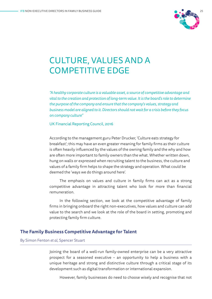

# CULTURE, VALUES AND A COMPETITIVE EDGE

*"A healthy corporate culture is a valuable asset, a source of competitive advantage and vital to the creation and protection of long-term value. It is the board's role to determine the purpose of the company and ensure that the company's values, strategy and business model are aligned to it. Directors should not wait for a crisis before they focus on company culture"* 

UK Financial Reporting Council, 2016

According to the management guru Peter Drucker, 'Culture eats strategy for breakfast'; this may have an even greater meaning for family firms as their culture is often heavily influenced by the values of the owning family and the why and how are often more important to family owners than the what. Whether written down, hung on walls or expressed when recruiting talent to the business, the culture and values of a family firm helps to shape the strategy and operation. What could be deemed the 'ways we do things around here'.

The emphasis on values and culture in family firms can act as a strong competitive advantage in attracting talent who look for more than financial remuneration.

In the following section, we look at the competitive advantage of family firms in bringing onboard the right non-executives, how values and culture can add value to the search and we look at the role of the board in setting, promoting and protecting family firm culture.

### **The Family Business Competitive Advantage for Talent**

### By Simon Fenton *et al*, Spencer Stuart

Joining the board of a well-run family-owned enterprise can be a very attractive prospect for a seasoned executive – an opportunity to help a business with a unique heritage and strong and distinctive culture through a critical stage of its development such as digital transformation or international expansion.

However, family businesses do need to choose wisely and recognise that not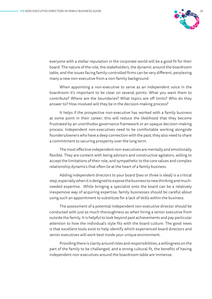

everyone with a stellar reputation in the corporate world will be a good fit for their board. The nature of the role, the stakeholders, the dynamic around the boardroom table, and the issues facing family-controlled firms can be very different, perplexing many a new non-executive from a non-family background.

When appointing a non-executive to serve as an independent voice in the boardroom it's important to be clear on several points: What you want them to contribute? Where are the boundaries? What topics are off limits? Who do they answer to? How involved will they be in the decision-making process?

It helps if the prospective non-executive has worked with a family business at some point in their career; this will reduce the likelihood that they become frustrated by an unorthodox governance framework or an opaque decision-making process. Independent non-executives need to be comfortable working alongside founders/owners who have a deep connection with the past; they also need to share a commitment to securing prosperity over the long term.

The most effective independent non-executives are mentally and emotionally flexible. They are content with being advisors and constructive agitators, willing to accept the limitations of their role, and sympathetic to the core values and complex relationship dynamics that often lie at the heart of a family business.

Adding independent directors to your board (two or three is ideal) is a critical step, especially when it is designed to expose the business to new thinking and muchneeded expertise. While bringing a specialist onto the board can be a relatively inexpensive way of acquiring expertise, family businesses should be careful about using such an appointment to substitute for a lack of skills within the business.

The assessment of a potential independent non-executive director should be conducted with just as much thoroughness as when hiring a senior executive from outside the family. It is helpful to look beyond past achievements and pay particular attention to how the individual's style fits with the board culture. The good news is that excellent tools exist to help identify which experienced board directors and senior executives will work best inside your unique environment.

Providing there is clarity around roles and responsibilities, a willingness on the part of the family to be challenged, and a strong cultural fit, the benefits of having independent non-executives around the boardroom table are immense.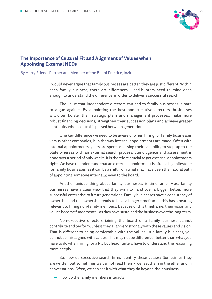

### **The Importance of Cultural Fit and Alignment of Values when Appointing External NEDs**

By Harry Friend, Partner and Member of the Board Practice, Inzito

I would never argue that family businesses are better, they are just different. Within each family business, there are differences. Head-hunters need to mine deep enough to understand the difference, in order to deliver a successful search.

The value that independent directors can add to family businesses is hard to argue against. By appointing the best non-executive directors, businesses will often bolster their strategic plans and management processes, make more robust financing decisions, strengthen their succession plans and achieve greater continuity when control is passed between generations.

One key difference we need to be aware of when hiring for family businesses versus other companies, is in the way internal appointments are made. Often with internal appointments, years are spent assessing their capability to step-up to the plate whereas with an external search process, due diligence and assessment is done over a period of only weeks. It is therefore crucial to get external appointments right. We have to understand that an external appointment is often a big milestone for family businesses, as it can be a shift from what may have been the natural path of appointing someone internally, even to the board.

Another unique thing about family businesses is timeframe. Most family businesses have a clear view that they wish to hand over a bigger, better, more successful enterprise to future generations. Family businesses have a consistency of ownership and the ownership tends to have a longer timeframe - this has a bearing relevant to hiring non-family members. Because of this timeframe, their vision and values become fundamental, as they have sustained the business over the long term.

Non-executive directors joining the board of a family business cannot contribute and perform, unless they align very strongly with these values and vision. That is different to being comfortable with the values. In a family business, you cannot be misaligned with values. This may not be different or better than what you have to do when hiring for a Plc but headhunters have to understand the reasoning more deeply.

So, how do executive search firms identify these values? Sometimes they are written but sometimes we cannot read them - we feel them in the ether and in conversations. Often, we can see it with what they do beyond their business.

 $\rightarrow$  How do the family members interact?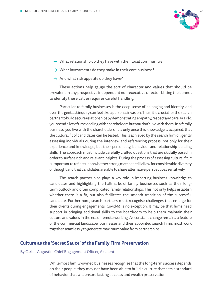

- $\rightarrow$  What relationship do they have with their local community?
- $\rightarrow$  What investments do they make in their core business?
- $\rightarrow$  And what risk appetite do they have?

These actions help gauge the sort of character and values that should be prevalent in any prospective independent non-executive director. Lifting the bonnet to identify these values requires careful handling.

Particular to family businesses is the deep sense of belonging and identity, and even the gentlest inquiry can feel like a personal invasion. Thus, it is crucial for the search partner to build secure relationships by demonstrating empathy, respect and care. In a Plc, you spend a lot of time dealing with shareholders but you don't live with them. In a family business, you live with the shareholders. It is only once this knowledge is acquired, that the cultural fit of candidates can be tested. This is achieved by the search firm diligently assessing individuals during the interview and referencing process, not only for their experience and knowledge, but their personality, behaviour and relationship building skills. The approach must include carefully crafted questions that are skilfully posed in order to surface rich and relevant insights. During the process of assessing cultural fit, it is important to reflect upon whether strong matches still allow for considerable diversity of thought and that candidates are able to share alternative perspectives sensitively.

The search partner also plays a key role in imparting business knowledge to candidates and highlighting the hallmarks of family businesses such as their longterm outlook and often complicated family relationships. This not only helps establish whether there is a fit, but also facilitates the smooth transition of the successful candidate. Furthermore, search partners must recognise challenges that emerge for their clients during engagements. Covid-19 is no exception. It may be that firms need support in bringing additional skills to the boardroom to help them maintain their culture and values in the era of remote working. As constant change remains a feature of the commercial landscape, businesses and their appointed search firms must work together seamlessly to generate maximum value from partnerships.

### **Culture as the 'Secret Sauce' of the Family Firm Preservation**

### By Carlos Augustin, Chief Engagement Officer, Axialent

While most family-owned businesses recognise that the long-term success depends on their people, they may not have been able to build a culture that sets a standard of behavior that will ensure lasting success and wealth preservation.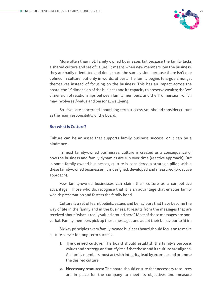

More often than not, family owned businesses fail because the family lacks a shared culture and set of values. It means when new members join the business, they are badly orientated and don't share the same vision: because there isn't one defined in culture, but only in words, at best. The family begins to argue amongst themselves instead of focusing on the business. This has an impact across the board: the 'it' dimension of the business and its capacity to preserve wealth; the 'we' dimension of relationships between family members; and the 'I' dimension, which may involve self-value and personal wellbeing

So, if you are concerned about long-term success, you should consider culture as the main responsibility of the board.

### **But what is Culture?**

Culture can be an asset that supports family business success, or it can be a hindrance.

In most family-owned businesses, culture is created as a consequence of how the business and family dynamics are run over time (reactive approach). But in some family-owned businesses, culture is considered a strategic pillar, within these family-owned businesses, it is designed, developed and measured (proactive approach).

Few family-owned businesses can claim their culture as a competitive advantage. Those who do, recognise that it is an advantage that enables family wealth preservation and fosters the family bond.

Culture is a set of learnt beliefs, values and behaviours that have become the way of life in the family and in the business. It results from the messages that are received about "what is really valued around here". Most of these messages are nonverbal. Family members pick up these messages and adapt their behaviour to fit in.

Six key principles every family-owned business board should focus on to make culture a lever for long-term success.

- **1. The desired culture:** The board should establish the family's purpose, values and strategy, and satisfy itself that these and its culture are aligned. All family members must act with integrity, lead by example and promote the desired culture.
- **2. Necessary resources:** The board should ensure that necessary resources are in place for the company to meet its objectives and measure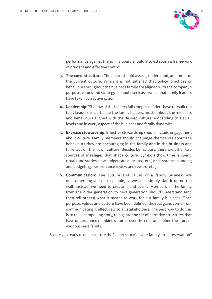

performance against them. The board should also establish a framework of prudent and effective control.

- **3. The current culture:** The board should assess, understand, and monitor the current culture. When it is not satisfied that policy, practices or behaviour throughout the business family are aligned with the company's purpose, values and strategy, it should seek assurance that family leaders have taken corrective action.
- **4. Leadership:** 'Shadow of the leaders falls long' so leaders have to 'walk the talk'. Leaders, in particular the family leaders, must embody the mindsets and behaviours aligned with the desired culture, embedding this at all levels and in every aspect of the business and family dynamics.
- **5. Exercise stewardship:** Effective stewardship should include engagement about culture. Family members should challenge themselves about the behaviours they are encouraging in the family and in the business and to reflect on their own culture. Besides behaviours, there are other two sources of messages that shape culture: Symbols (how time is spent, rituals and stories, how budgets are allocated, etc.) and systems (planning and budgeting, performance review and reward, etc.).
- **6. Communication:** The culture and values of a family business are not something you do to people, so we can't simply slap it up on the wall; instead, we need to create it and live it. Members of the family from the older generation to next generation should understand (and then tell others) what it means to work for our family business. Once purpose, values and culture have been defined, the real gains come from communicating it effectively to all stakeholders. The best way to do this is to tell a compelling story, to dig into the set of narrative structures that have underpinned mankind's stories over the eons and define the story of your business family.

So, are you ready to make culture the 'secret sauce' of your family firm preservation?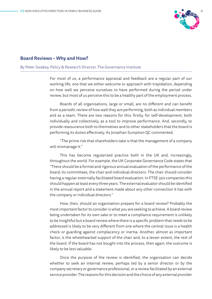

### **Board Reviews – Why and How?**

### By Peter Swabey, Policy & Research Director, The Governance Institute

For most of us, a performance appraisal and feedback are a regular part of our working life; one that we either welcome or approach with trepidation, depending on how well we perceive ourselves to have performed during the period under review, but most of us perceive this to be a healthy part of the employment process.

Boards of all organisations, large or small, are no different and can benefit from a periodic review of how well they are performing, both as individual members and as a team. There are two reasons for this: firstly, for self-development, both individually and collectively, as a tool to improve performance. And, secondly, to provide reassurance both to themselves and to other stakeholders that the board is performing its duties effectively. As Jonathan Sumption QC commented,

"The prime risk that shareholders take is that the management of a company will mismanage it."

This has become regularised practice both in the UK and, increasingly, throughout the world. For example, the UK Corporate Governance Code states that "There should be a formal and rigorous annual evaluation of the performance of the board, its committees, the chair and individual directors. The chair should consider having a regular externally facilitated board evaluation. In FTSE 350 companies this should happen at least every three years. The external evaluator should be identified in the annual report and a statement made about any other connection it has with the company or individual directors."

How, then, should an organisation prepare for a board review? Probably the most important factor to consider is what you are seeking to achieve. A board review being undertaken for its own sake or to meet a compliance requirement is unlikely to be insightful but a board review where there is a specific problem that needs to be addressed is likely to be very different from one where the central issue is a health check or guarding against complacency or inertia. Another, almost as important factor, is the wholehearted support of the chair and, to a lesser extent, the rest of the board. If the board has not bought into the process, then again, the outcome is likely to be less valuable.

Once the purpose of the review is identified, the organisation can decide whether to seek an internal review, perhaps led by a senior director or by the company secretary or governance professional, or a review facilitated by an external service provider. The reasons for this decision and the choice of any external provider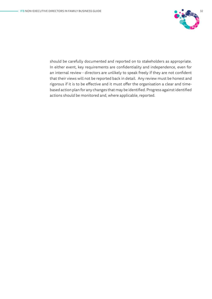

should be carefully documented and reported on to stakeholders as appropriate. In either event, key requirements are confidentiality and independence, even for an internal review - directors are unlikely to speak freely if they are not confident that their views will not be reported back in detail. Any review must be honest and rigorous if it is to be effective and it must offer the organisation a clear and timebased action plan for any changes that may be identified. Progress against identified actions should be monitored and, where applicable, reported.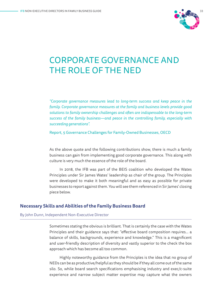

### CORPORATE GOVERNANCE AND THE ROLE OF THE NED

*"Corporate governance measures lead to long-term success and keep peace in the family. Corporate governance measures at the family and business levels provide good solutions to family ownership challenges and often are indispensable to the long-term success of the family business—and peace in the controlling family, especially with succeeding generations".*

Report, 5 Governance Challenges for Family-Owned Businesses, OECD

As the above quote and the following contributions show, there is much a family business can gain from implementing good corporate governance. This along with culture is very much the essence of the role of the board.

In 2018, the IFB was part of the BEIS coalition who developed the Wates Principles under Sir James Wates' leadership as chair of the group. The Principles were developed to make it both meaningful and as easy as possible for private businesses to report against them. You will see them referenced in Sir James' closing piece below.

### **Necessary Skills and Abilities of the Family Business Board**

#### By John Dunn, Independent Non-Executive Director

Sometimes stating the obvious is brilliant. That is certainly the case with the Wates Principles and their guidance says that: "effective board composition requires... a balance of skills, backgrounds, experience and knowledge." This is a magnificent and user-friendly description of diversity and vastly superior to the check the box approach which has become all too common.

Highly noteworthy guidance from the Principles is the idea that no group of NEDs can be as productive/helpful as they should be if they all come out of the same silo. So, while board search specifications emphasising industry and exec/c-suite experience and narrow subject matter expertise may capture what the owners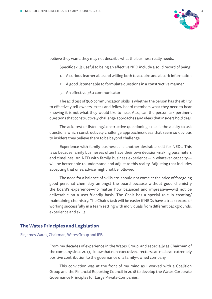

believe they want, they may not describe what the business really needs.

Specific skills useful to being an effective NED include a solid record of being:

- 1. A curious learner able and willing both to acquire and absorb information
- 2. A good listener able to formulate questions in a constructive manner
- 3. An effective 360 communicator

The acid test of 360 communication skills is whether the person has the ability to effectively tell owners, execs and fellow board members what they need to hear knowing it is not what they would like to hear. Also, can the person ask pertinent questions that constructively challenge approaches and ideas that insiders hold dear.

The acid test of listening/constructive questioning skills is the ability to ask questions which constructively challenge approaches/ideas that seem so obvious to insiders they believe them to be beyond challenge.

Experience with family businesses is another desirable skill for NEDs. This is so because family businesses often have their own decision-making parameters and timelines. An NED with family business experience—in whatever capacity will be better able to understand and adjust to this reality. Adjusting that includes accepting that one's advice might not be followed.

The need for a balance of skills etc. should not come at the price of foregoing good personal chemistry amongst the board because without good chemistry the board's experience—no matter how balanced and impressive—will not be deliverable on a user-friendly basis. The Chair has a special role in creating/ maintaining chemistry. The Chair's task will be easier if NEDs have a track record of working successfully in a team setting with individuals from different backgrounds, experience and skills.

### **The Wates Principles and Legislation**

### Sir James Wates, Chairman, Wates Group and IFB

From my decades of experience in the Wates Group, and especially as Chairman of the company since 2013, I know that non-executive directors can make an extremely positive contribution to the governance of a family-owned company.

This conviction was at the front of my mind as I worked with a Coalition Group and the Financial Reporting Council in 2018 to develop the Wates Corporate Governance Principles for Large Private Companies.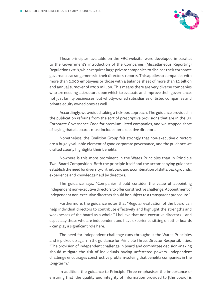

Those principles, available on the FRC website, were developed in parallel to the Government's introduction of the Companies (Miscellaneous Reporting) Regulations 2018, which requires large private companies to disclose their corporate governance arrangements in their directors' reports. This applies to companies with more than 2,000 employees or those with a balance sheet of more than £2 billion and annual turnover of £200 million. This means there are very diverse companies who are needing a structure upon which to evaluate and improve their governance: not just family businesses, but wholly-owned subsidiaries of listed companies and private equity owned ones as well.

Accordingly, we avoided taking a tick-box approach. The guidance provided in the publication refrains from the sort of prescriptive provisions that are in the UK Corporate Governance Code for premium listed companies, and we stopped short of saying that all boards must include non-executive directors.

Nonetheless, the Coalition Group felt strongly that non-executive directors are a hugely valuable element of good corporate governance, and the guidance we drafted clearly highlights their benefits.

Nowhere is this more prominent in the Wates Principles than in Principle Two: Board Composition. Both the principle itself and the accompanying guidance establish the need for diversity on the board and a combination of skills, backgrounds, experience and knowledge held by directors.

The guidance says: "Companies should consider the value of appointing independent non-executive directors to offer constructive challenge. Appointment of independent non-executive directors should be subject to a transparent procedure."

Furthermore, the guidance notes that "Regular evaluation of the board can help individual directors to contribute effectively and highlight the strengths and weaknesses of the board as a whole." I believe that non-executive directors – and especially those who are independent and have experience sitting on other boards – can play a significant role here.

The need for independent challenge runs throughout the Wates Principles and is picked up again in the guidance for Principle Three: Director Responsibilities: "The provision of independent challenge in board and committee decision-making should mitigate the risk of individuals having unfettered powers. Independent challenge encourages constructive problem-solving that benefits companies in the long-term."

In addition, the guidance to Principle Three emphasises the importance of ensuring that 'the quality and integrity of information provided to [the board] is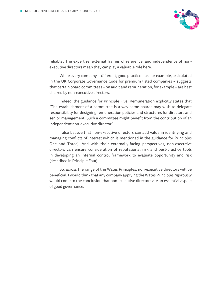

reliable'. The expertise, external frames of reference, and independence of nonexecutive directors mean they can play a valuable role here.

While every company is different, good practice – as, for example, articulated in the UK Corporate Governance Code for premium listed companies – suggests that certain board committees – on audit and remuneration, for example – are best chaired by non-executive directors.

Indeed, the guidance for Principle Five: Remuneration explicitly states that "The establishment of a committee is a way some boards may wish to delegate responsibility for designing remuneration policies and structures for directors and senior management. Such a committee might benefit from the contribution of an independent non-executive director."

I also believe that non-executive directors can add value in identifying and managing conflicts of interest (which is mentioned in the guidance for Principles One and Three). And with their externally-facing perspectives, non-executive directors can ensure consideration of reputational risk and best-practice tools in developing an internal control framework to evaluate opportunity and risk (described in Principle Four).

So, across the range of the Wates Principles, non-executive directors will be beneficial. I would think that any company applying the Wates Principles rigorously would come to the conclusion that non-executive directors are an essential aspect of good governance.